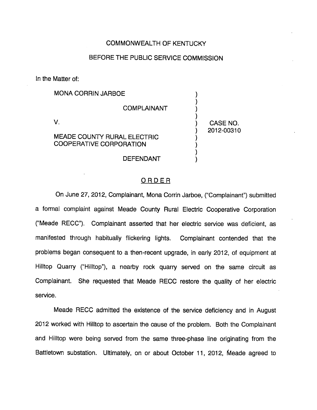## COMMONWEALTH OF KENTUCKY

## BEFORE THE PUBLIC SERVICE COMMISSION

In the Matter of:

| <b>MONA CORRIN JARBOE</b>                                            |                        |
|----------------------------------------------------------------------|------------------------|
| <b>COMPLAINANT</b>                                                   |                        |
| <b>MEADE COUNTY RURAL ELECTRIC</b><br><b>COOPERATIVE CORPORATION</b> | CASE NO.<br>2012-00310 |
| DEFENDANT                                                            |                        |

## ORDER

On June 27, 2012, Complainant, Mona Corrin Jarboe, ("Complainant") submitted a formal complaint against Meade County Rural Electric Cooperative Corporation ("Meade RECC"). Complainant asserted that her electric service was deficient, as manifested through habitually flickering lights. Complainant contended that the problems began consequent to a then-recent upgrade, in early 2012, of equipment at Hilltop Quarry ("Hilltop"), a nearby rock quarry served on the same circuit as Complainant. She requested that Meade RECC restore the quality of her electric service.

Meade RECC admitted the existence of the service deficiency and in August 2012 worked with Hilltop to ascertain the cause of the problem. Both the Complainant and Hilltop were being served from the same three-phase line originating from the Battletown substation. Ultimately, on or about October 11, 2012, Meade agreed to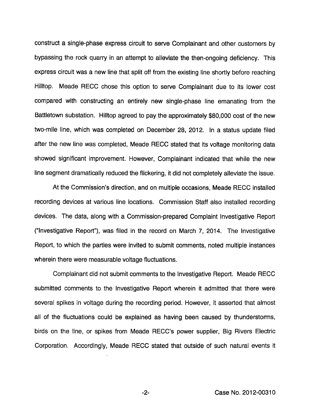construct a single-phase express circuit to serve Complainant and other customers by bypassing the rock quarry in an attempt to alleviate the then-ongoing deficiency. This express circuit was a new line that split off from the existing line shortly before reaching Hilltop. Meade REGG chose this option to serve Complainant due to its lower cost compared with constructing an entirely new single-phase line emanating from the Battletown substation. Hilltop agreed to pay the approximately \$80,000 cost of the new two-mile line, which was completed on December 28, 2012. In a status update filed after the new line was completed, Meade REGG stated that its voltage monitoring data showed significant improvement. However, Complainant indicated that while the new line segment dramatically reduced the flickering, it did not completely alleviate the issue.

At the Commission's direction, and on multiple occasions, Meade REGG installed recording devices at various line locations. Commission Staff also installed recording devices. The data, along with a Commission-prepared Complaint Investigative Report ("Investigative Repotf), was filed in the record on March 7, 2014. The Investigative Report, to which the parties were invited to submit comments, noted multiple instances wherein there were measurable voltage fluctuations.

Complainant did not submit comments to the Investigative Report. Meade REGG submitted comments to the Investigative Report wherein it admitted that there were several spikes in voltage during the recording period. However, it asserted that almost all of the fluctuations could be explained as having been caused by thunderstorms, birds on the line, or spikes from Meade RECC's power supplier. Big Rivers Electric Corporation. Accordingly, Meade REGG stated that outside of such natural events it

 $-2-$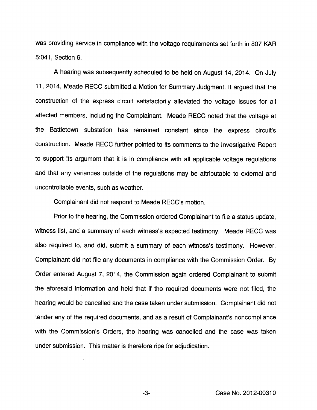was providing service in compliance with the voltage requirements set forth in 807 KAR 5:041, Section 6.

A hearing was subsequently scheduled to be held on August 14, 2014. On July 11, 2014, Meade RECC submitted a Motion for Summary Judgment. It argued that the construction of the express circuit satisfactorily alleviated the voltage issues for all affected members, including the Complainant. Meade RECC noted that the voltage at the Battletown substation has remained constant since the express circuit's construction. Meade RECC further pointed to its comments to the Investigative Report to support its argument that it is in compliance with all applicable voltage regulations and that any variances outside of the regulations may be attributable to external and uncontrollable events, such as weather.

Complainant did not respond to Meade RECC's motion.

Prior to the hearing, the Commission ordered Complainant to file a status update, witness list, and a summary of each witness's expected testimony. Meade RECC was also required to, and did, submit a summary of each witness's testimony. However, Complainant did not file any documents in compliance with the Commission Order. By Order entered August 7, 2014, the Commission again ordered Complainant to submit the aforesaid information and held that if the required documents were not filed, the hearing would be cancelled and the case taken under submission. Complainant did not tender any of the required documents, and as a result of Complainant's noncompliance with the Commission's Orders, the hearing was cancelled and the case was taken under submission. This matter is therefore ripe for adjudication.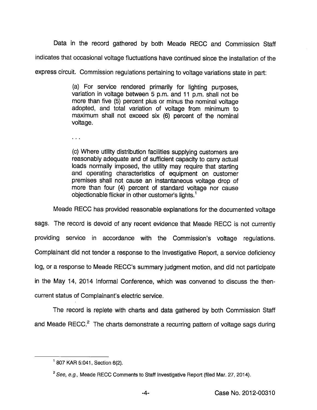Data in the record gathered by both Meade RECC and Commission Staff

indicates that occasional voltage fluctuations have continued since the installation of the

express circuit. Commission regulations pertaining to voltage variations state in part:

(a) For service rendered primarily for lighting purposes, variation in voltage between 5 p.m. and 11 p.m. shall not be more than five (5) percent plus or minus the nominal voltage adopted, and total variation of voltage from minimum to maximum shall not exceed six (6) percent of the nominal voltage.

 $\mathbf{r}$  ,  $\mathbf{r}$  ,

(c) Where utility distribution facilities supplying customers are reasonably adequate and of sufficient capacity to carry actual loads normally imposed, the utility may require that starting and operating characteristics of equipment on customer premises shall not cause an instantaneous voltage drop of more than four (4) percent of standard voltage nor cause objectionable flicker in other customer's lights. $<sup>1</sup>$ </sup>

Meade RECC has provided reasonable explanations for the documented voltage

sags. The record is devoid of any recent evidence that Meade RECC is not currently providing service in accordance with the Commission's voltage regulations. Complainant did not tender a response to the Investigative Report, a service deficiency log, or a response to Meade RECC's summary judgment motion, and did not participate in the May 14, 2014 Informai Conference, which was convened to discuss the thencurrent status of Complainant's electric service.

The record is repiete with charts and data gathered by both Commission Staff and Meade RECC.<sup>2</sup> The charts demonstrate a recurring pattern of voltage sags during

<sup>&#</sup>x27; 807 KAR 5:041, Section 6(2).

<sup>&</sup>lt;sup>2</sup> See, e.g., Meade RECC Comments to Staff Investigative Report (filed Mar. 27, 2014).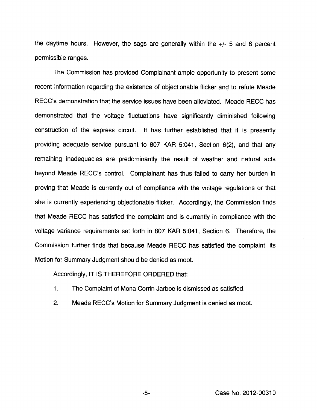the daytime hours. However, the sags are generally within the +/- 5 and 6 percent permissible ranges.

The Commission has provided Complainant ample opportunity to present some recent information regarding the existence of objectionable flicker and to refute Meade RECC's demonstration that the service issues have been alleviated. Meade RECC has demonstrated that the voltage fluctuations have significantly diminished following construction of the express circuit. It has further established that it is presently providing adequate service pursuant to 807 KAR 5:041, Section 6(2), and that any remaining inadequacies are predominantly the result of weather and natural acts beyond Meade RECC's control. Complainant has thus failed to carry her burden in proving that Meade is currently out of compliance with the voltage regulations or that she is currently experiencing objectionable flicker. Accordingly, the Commission finds that Meade RECC has satisfied the complaint and is currently in compliance with the voltage variance requirements set forth in 807 KAR 5:041, Section 6. Therefore, the Commission further finds that because Meade RECC has satisfied the complaint, its Motion for Summary Judgment should be denied as moot.

Accordingly, IT IS THEREFORE ORDERED that:

- 1. The Complaint of Mona Corrin Jarboe is dismissed as satisfied.
- 2. Meade RECC's Motion for Summary Judgment is denied as moot.

 $-5-$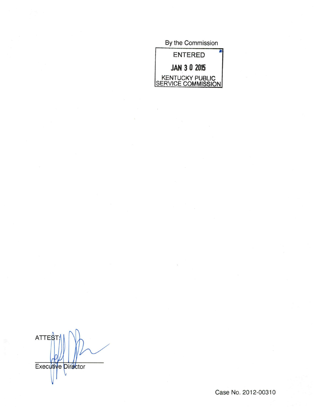By the Commission

| <b>ENTERED</b>                        |  |
|---------------------------------------|--|
| <b>JAN 3 0 2015</b>                   |  |
| KENTUCKY PUBLIC<br>SERVICE COMMISSION |  |

**ATTES** Executive Director V

Case No. 2012-00310